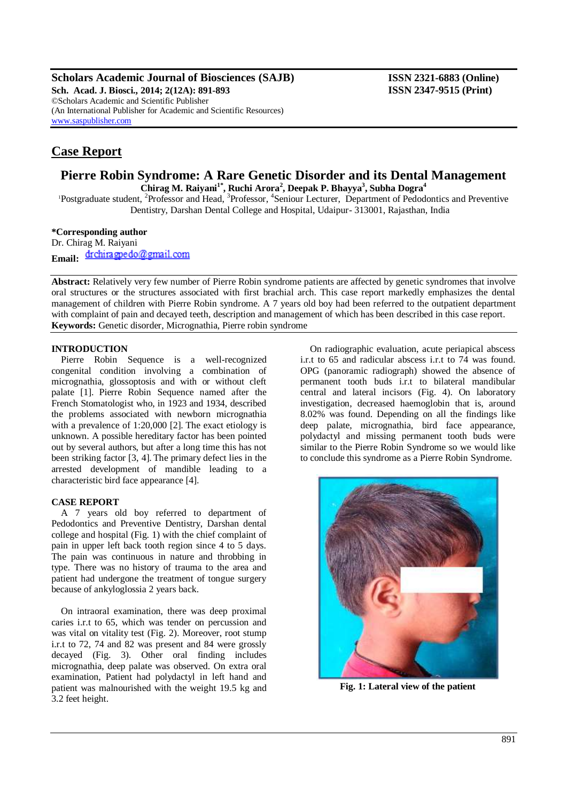**Scholars Academic Journal of Biosciences (SAJB) ISSN 2321-6883 (Online)**

**Sch. Acad. J. Biosci., 2014; 2(12A): 891-893 ISSN 2347-9515 (Print)** ©Scholars Academic and Scientific Publisher (An International Publisher for Academic and Scientific Resources) [www.saspublisher.com](http://www.saspublisher.com/)

# **Case Report**

### **Pierre Robin Syndrome: A Rare Genetic Disorder and its Dental Management Chirag M. Raiyani1\*, Ruchi Arora<sup>2</sup> , Deepak P. Bhayya<sup>3</sup> , Subha Dogra<sup>4</sup>**

<sup>1</sup>Postgraduate student, <sup>2</sup>Professor and Head, <sup>3</sup>Professor, <sup>4</sup>Seniour Lecturer, Department of Pedodontics and Preventive Dentistry, Darshan Dental College and Hospital, Udaipur- 313001, Rajasthan, India

**\*Corresponding author** Dr. Chirag M. Raiyani

Email: drchiragpedo@gmail.com

**Abstract:** Relatively very few number of Pierre Robin syndrome patients are affected by genetic syndromes that involve oral structures or the structures associated with first brachial arch. This case report markedly emphasizes the dental management of children with Pierre Robin syndrome. A 7 years old boy had been referred to the outpatient department with complaint of pain and decayed teeth, description and management of which has been described in this case report. **Keywords:** Genetic disorder, Micrognathia, Pierre robin syndrome

#### **INTRODUCTION**

Pierre Robin Sequence is a well-recognized congenital condition involving a combination of micrognathia, glossoptosis and with or without cleft palate [1]. Pierre Robin Sequence named after the French Stomatologist who, in 1923 and 1934, described the problems associated with newborn micrognathia with a prevalence of 1:20,000 [2]. The exact etiology is unknown. A possible hereditary factor has been pointed out by several authors, but after a long time this has not been striking factor [3, 4]. The primary defect lies in the arrested development of mandible leading to a characteristic bird face appearance [4].

#### **CASE REPORT**

A 7 years old boy referred to department of Pedodontics and Preventive Dentistry, Darshan dental college and hospital (Fig. 1) with the chief complaint of pain in upper left back tooth region since 4 to 5 days. The pain was continuous in nature and throbbing in type. There was no history of trauma to the area and patient had undergone the treatment of tongue surgery because of ankyloglossia 2 years back.

On intraoral examination, there was deep proximal caries i.r.t to 65, which was tender on percussion and was vital on vitality test (Fig. 2). Moreover, root stump i.r.t to 72, 74 and 82 was present and 84 were grossly decayed (Fig. 3). Other oral finding includes micrognathia, deep palate was observed. On extra oral examination, Patient had polydactyl in left hand and patient was malnourished with the weight 19.5 kg and 3.2 feet height.

On radiographic evaluation, acute periapical abscess i.r.t to 65 and radicular abscess i.r.t to 74 was found. OPG (panoramic radiograph) showed the absence of permanent tooth buds i.r.t to bilateral mandibular central and lateral incisors (Fig. 4). On laboratory investigation, decreased haemoglobin that is, around 8.02% was found. Depending on all the findings like deep palate, micrognathia, bird face appearance, polydactyl and missing permanent tooth buds were similar to the Pierre Robin Syndrome so we would like to conclude this syndrome as a Pierre Robin Syndrome.



**Fig. 1: Lateral view of the patient**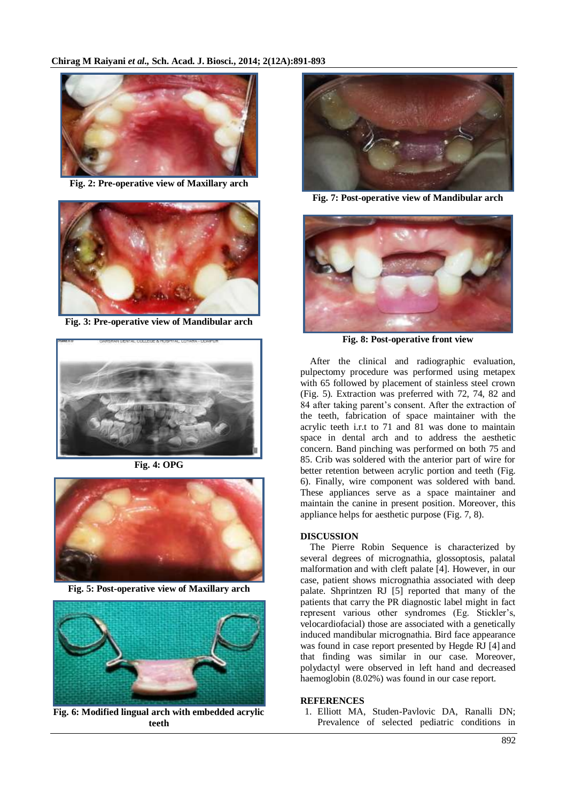

**Fig. 2: Pre-operative view of Maxillary arch**



**Fig. 3: Pre-operative view of Mandibular arch**



**Fig. 4: OPG** 



**Fig. 5: Post-operative view of Maxillary arch**



**Fig. 6: Modified lingual arch with embedded acrylic teeth**



**Fig. 7: Post-operative view of Mandibular arch**



**Fig. 8: Post-operative front view**

After the clinical and radiographic evaluation, pulpectomy procedure was performed using metapex with 65 followed by placement of stainless steel crown (Fig. 5). Extraction was preferred with 72, 74, 82 and 84 after taking parent's consent. After the extraction of the teeth, fabrication of space maintainer with the acrylic teeth i.r.t to 71 and 81 was done to maintain space in dental arch and to address the aesthetic concern. Band pinching was performed on both 75 and 85. Crib was soldered with the anterior part of wire for better retention between acrylic portion and teeth (Fig. 6). Finally, wire component was soldered with band. These appliances serve as a space maintainer and maintain the canine in present position. Moreover, this appliance helps for aesthetic purpose (Fig. 7, 8).

## **DISCUSSION**

The Pierre Robin Sequence is characterized by several degrees of micrognathia, glossoptosis, palatal malformation and with cleft palate [4]. However, in our case, patient shows micrognathia associated with deep palate. Shprintzen RJ [5] reported that many of the patients that carry the PR diagnostic label might in fact represent various other syndromes (Eg. Stickler's, velocardiofacial) those are associated with a genetically induced mandibular micrognathia. Bird face appearance was found in case report presented by Hegde RJ [4] and that finding was similar in our case. Moreover, polydactyl were observed in left hand and decreased haemoglobin (8.02%) was found in our case report.

#### **REFERENCES**

1. Elliott MA, Studen-Pavlovic DA, Ranalli DN; Prevalence of selected pediatric conditions in